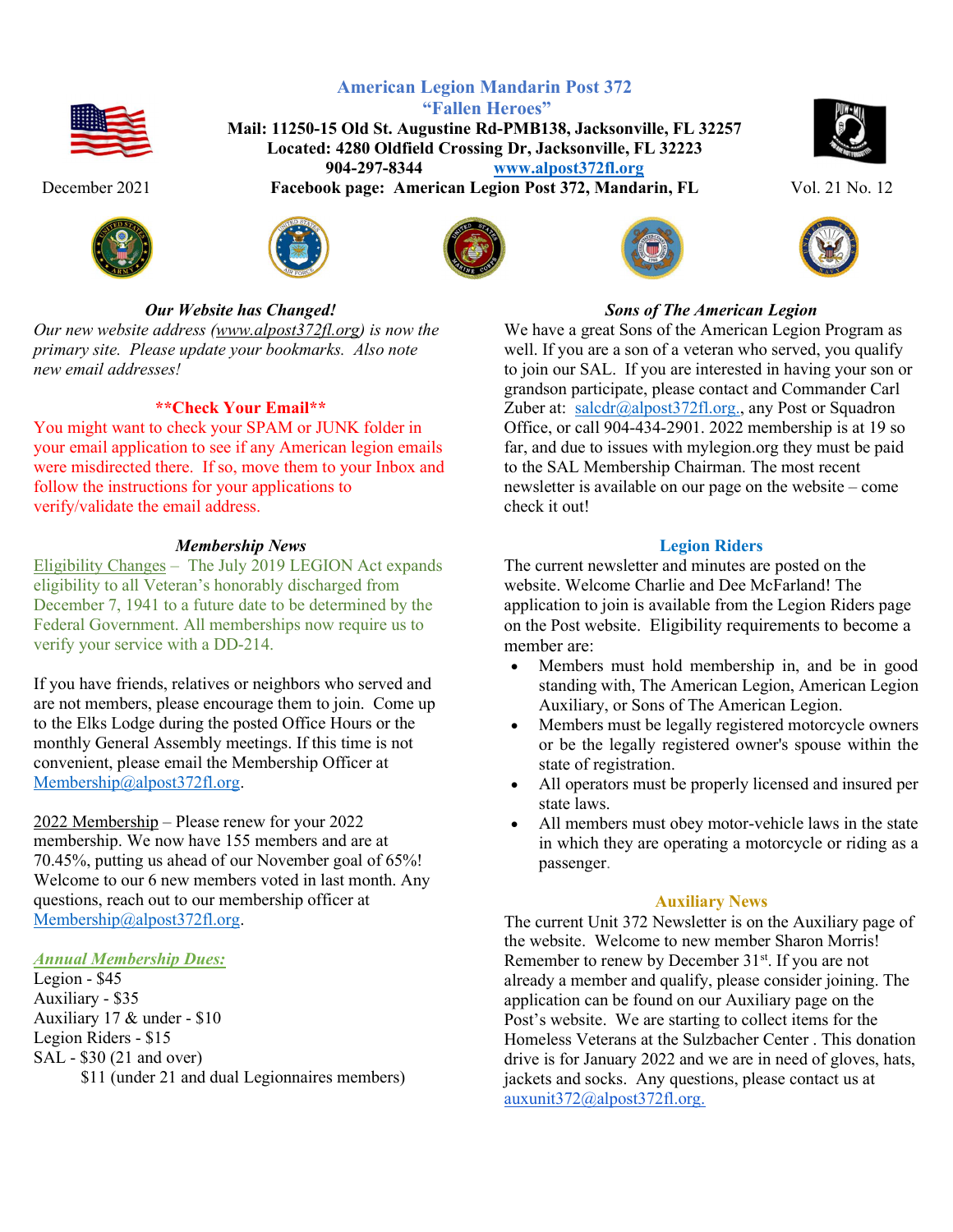





# Our Website has Changed!

Our new website address (www.alpost372fl.org) is now the primary site. Please update your bookmarks. Also note new email addresses!

### \*\*Check Your Email\*\*

You might want to check your SPAM or JUNK folder in your email application to see if any American legion emails were misdirected there. If so, move them to your Inbox and follow the instructions for your applications to verify/validate the email address.

### Membership News

Eligibility Changes – The July 2019 LEGION Act expands eligibility to all Veteran's honorably discharged from December 7, 1941 to a future date to be determined by the Federal Government. All memberships now require us to verify your service with a DD-214.

If you have friends, relatives or neighbors who served and are not members, please encourage them to join. Come up to the Elks Lodge during the posted Office Hours or the monthly General Assembly meetings. If this time is not convenient, please email the Membership Officer at Membership@alpost372fl.org.

2022 Membership – Please renew for your 2022 membership. We now have 155 members and are at 70.45%, putting us ahead of our November goal of 65%! Welcome to our 6 new members voted in last month. Any questions, reach out to our membership officer at Membership@alpost372fl.org.

## Annual Membership Dues:

Legion - \$45 Auxiliary - \$35 Auxiliary 17 & under - \$10 Legion Riders - \$15 SAL - \$30 (21 and over) \$11 (under 21 and dual Legionnaires members)

American Legion Mandarin Post 372 "Fallen Heroes" Mail: 11250-15 Old St. Augustine Rd-PMB138, Jacksonville, FL 32257 Located: 4280 Oldfield Crossing Dr, Jacksonville, FL 32223 904-297-8344 www.alpost372fl.org



December 2021 Facebook page: American Legion Post 372, Mandarin, FL Vol. 21 No. 12







### Sons of The American Legion

We have a great Sons of the American Legion Program as well. If you are a son of a veteran who served, you qualify to join our SAL. If you are interested in having your son or grandson participate, please contact and Commander Carl Zuber at: salcdr@alpost372fl.org., any Post or Squadron Office, or call 904-434-2901. 2022 membership is at 19 so far, and due to issues with mylegion.org they must be paid to the SAL Membership Chairman. The most recent newsletter is available on our page on the website – come check it out!

### Legion Riders

The current newsletter and minutes are posted on the website. Welcome Charlie and Dee McFarland! The application to join is available from the Legion Riders page on the Post website. Eligibility requirements to become a member are:

- Members must hold membership in, and be in good standing with, The American Legion, American Legion Auxiliary, or Sons of The American Legion.
- Members must be legally registered motorcycle owners or be the legally registered owner's spouse within the state of registration.
- All operators must be properly licensed and insured per state laws.
- All members must obey motor-vehicle laws in the state in which they are operating a motorcycle or riding as a passenger.

### Auxiliary News

The current Unit 372 Newsletter is on the Auxiliary page of the website. Welcome to new member Sharon Morris! Remember to renew by December 31<sup>st</sup>. If you are not already a member and qualify, please consider joining. The application can be found on our Auxiliary page on the Post's website. We are starting to collect items for the Homeless Veterans at the Sulzbacher Center . This donation drive is for January 2022 and we are in need of gloves, hats, jackets and socks. Any questions, please contact us at auxunit372@alpost372fl.org.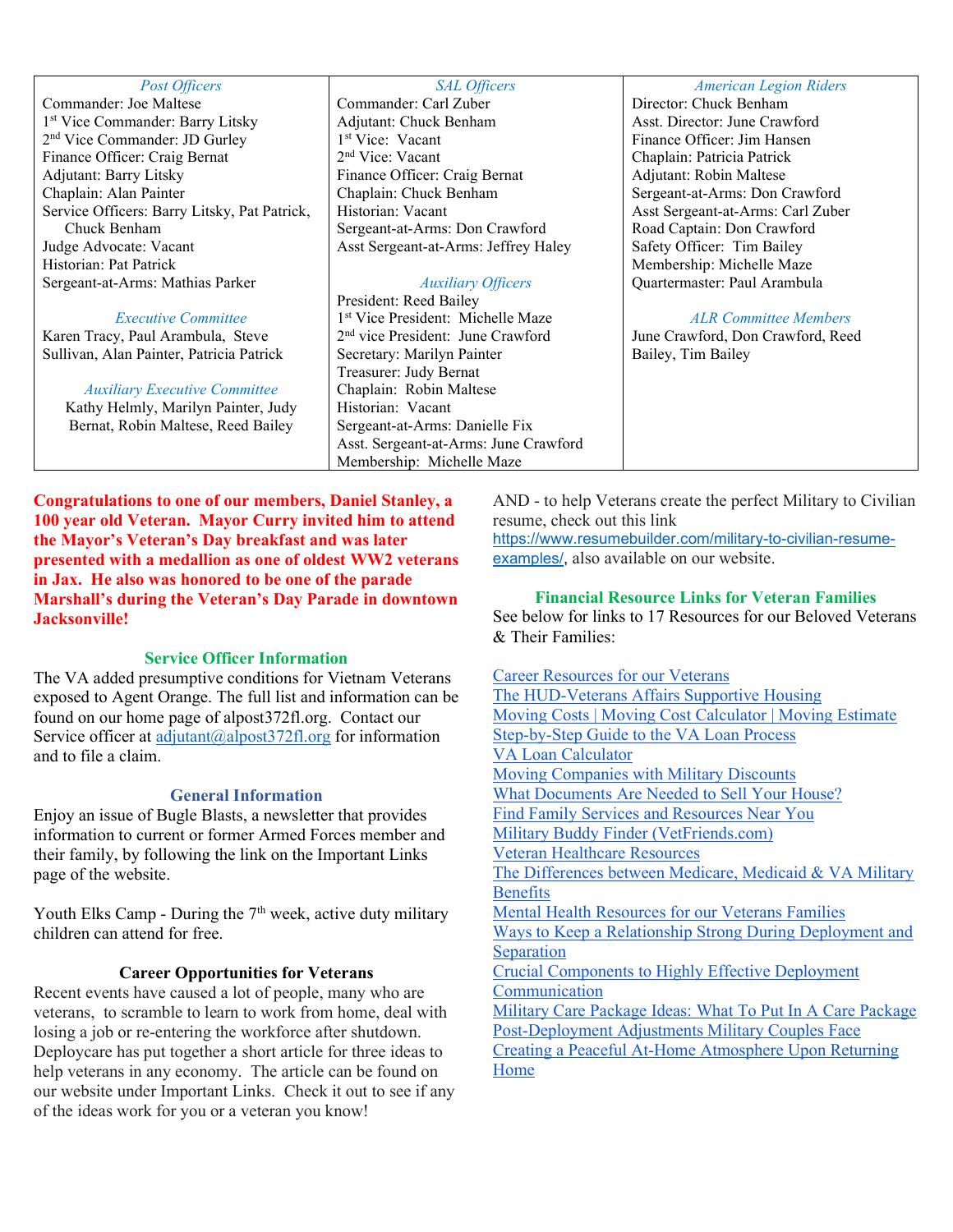#### Post Officers

Commander: Joe Maltese 1 st Vice Commander: Barry Litsky 2 nd Vice Commander: JD Gurley Finance Officer: Craig Bernat Adjutant: Barry Litsky Chaplain: Alan Painter Service Officers: Barry Litsky, Pat Patrick, Chuck Benham Judge Advocate: Vacant Historian: Pat Patrick Sergeant-at-Arms: Mathias Parker

#### Executive Committee

Karen Tracy, Paul Arambula, Steve Sullivan, Alan Painter, Patricia Patrick

#### Auxiliary Executive Committee

Kathy Helmly, Marilyn Painter, Judy Bernat, Robin Maltese, Reed Bailey

#### SAL Officers

Commander: Carl Zuber Adjutant: Chuck Benham 1 st Vice: Vacant 2 nd Vice: Vacant Finance Officer: Craig Bernat Chaplain: Chuck Benham Historian: Vacant Sergeant-at-Arms: Don Crawford Asst Sergeant-at-Arms: Jeffrey Haley

### Auxiliary Officers

President: Reed Bailey 1 st Vice President: Michelle Maze 2 nd vice President: June Crawford Secretary: Marilyn Painter Treasurer: Judy Bernat Chaplain: Robin Maltese Historian: Vacant Sergeant-at-Arms: Danielle Fix Asst. Sergeant-at-Arms: June Crawford Membership: Michelle Maze

#### American Legion Riders

Director: Chuck Benham Asst. Director: June Crawford Finance Officer: Jim Hansen Chaplain: Patricia Patrick Adjutant: Robin Maltese Sergeant-at-Arms: Don Crawford Asst Sergeant-at-Arms: Carl Zuber Road Captain: Don Crawford Safety Officer: Tim Bailey Membership: Michelle Maze Quartermaster: Paul Arambula

#### ALR Committee Members

June Crawford, Don Crawford, Reed Bailey, Tim Bailey

Congratulations to one of our members, Daniel Stanley, a 100 year old Veteran. Mayor Curry invited him to attend the Mayor's Veteran's Day breakfast and was later presented with a medallion as one of oldest WW2 veterans in Jax. He also was honored to be one of the parade Marshall's during the Veteran's Day Parade in downtown Jacksonville!

### Service Officer Information

The VA added presumptive conditions for Vietnam Veterans exposed to Agent Orange. The full list and information can be found on our home page of alpost372fl.org. Contact our Service officer at adjutant@alpost372fl.org for information and to file a claim.

### General Information

Enjoy an issue of Bugle Blasts, a newsletter that provides information to current or former Armed Forces member and their family, by following the link on the Important Links page of the website.

Youth Elks Camp - During the  $7<sup>th</sup>$  week, active duty military children can attend for free.

#### Career Opportunities for Veterans

Recent events have caused a lot of people, many who are veterans, to scramble to learn to work from home, deal with losing a job or re-entering the workforce after shutdown. Deploycare has put together a short article for three ideas to help veterans in any economy. The article can be found on our website under Important Links. Check it out to see if any of the ideas work for you or a veteran you know!

AND - to help Veterans create the perfect Military to Civilian resume, check out this link https://www.resumebuilder.com/military-to-civilian-resumeexamples/, also available on our website.

### Financial Resource Links for Veteran Families

See below for links to 17 Resources for our Beloved Veterans & Their Families:

Career Resources for our Veterans The HUD-Veterans Affairs Supportive Housing Moving Costs | Moving Cost Calculator | Moving Estimate Step-by-Step Guide to the VA Loan Process VA Loan Calculator Moving Companies with Military Discounts What Documents Are Needed to Sell Your House? Find Family Services and Resources Near You Military Buddy Finder (VetFriends.com) Veteran Healthcare Resources The Differences between Medicare, Medicaid & VA Military Benefits Mental Health Resources for our Veterans Families Ways to Keep a Relationship Strong During Deployment and Separation Crucial Components to Highly Effective Deployment Communication Military Care Package Ideas: What To Put In A Care Package Post-Deployment Adjustments Military Couples Face Creating a Peaceful At-Home Atmosphere Upon Returning Home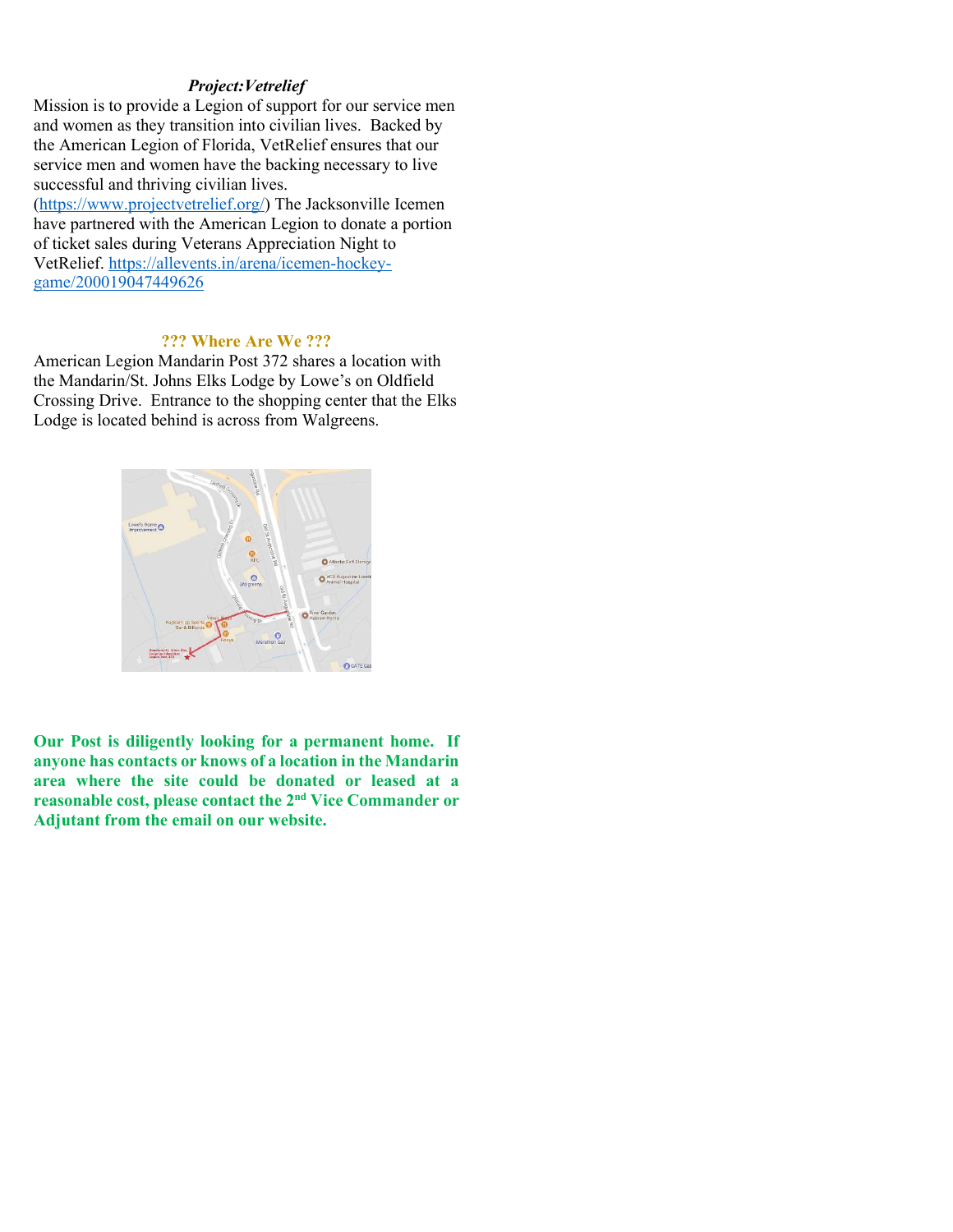## Project:Vetrelief

Mission is to provide a Legion of support for our service men and women as they transition into civilian lives. Backed by the American Legion of Florida, VetRelief ensures that our service men and women have the backing necessary to live successful and thriving civilian lives. (https://www.projectvetrelief.org/) The Jacksonville Icemen have partnered with the American Legion to donate a portion of ticket sales during Veterans Appreciation Night to VetRelief. https://allevents.in/arena/icemen-hockeygame/200019047449626

### ??? Where Are We ???

American Legion Mandarin Post 372 shares a location with the Mandarin/St. Johns Elks Lodge by Lowe's on Oldfield Crossing Drive. Entrance to the shopping center that the Elks Lodge is located behind is across from Walgreens.



Our Post is diligently looking for a permanent home. If anyone has contacts or knows of a location in the Mandarin area where the site could be donated or leased at a reasonable cost, please contact the 2nd Vice Commander or Adjutant from the email on our website.